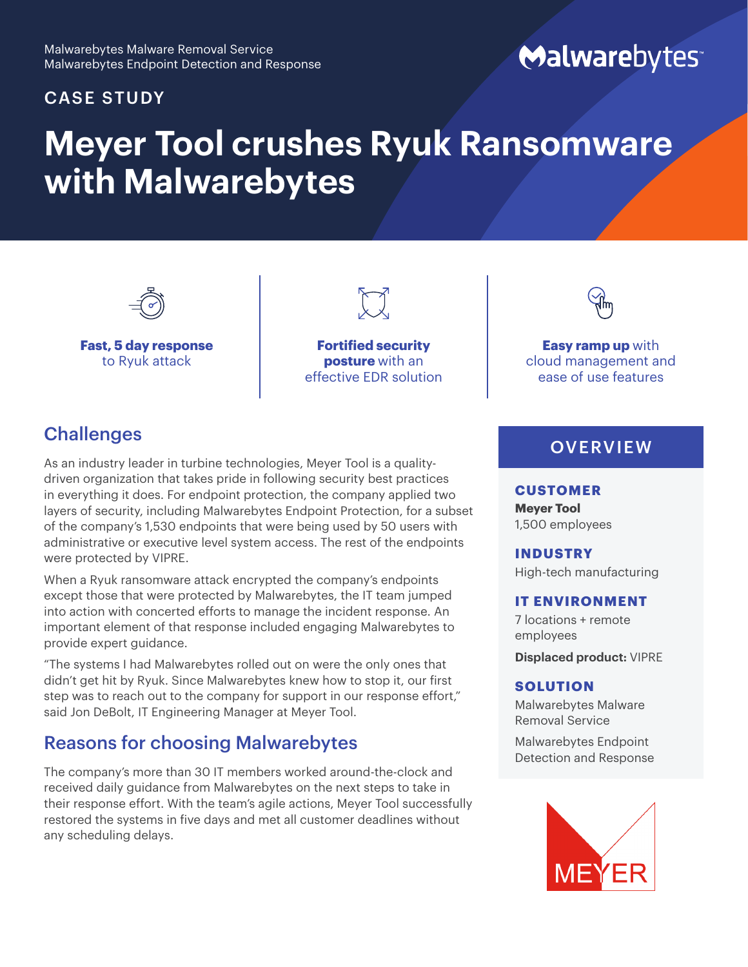#### CASE STUDY

## Malwarebytes

# **Meyer Tool crushes Ryuk Ransomware with Malwarebytes**



**Fast, 5 day response**  to Ryuk attack

**Fortified security posture** with an effective EDR solution



**Easy ramp up** with cloud management and ease of use features

## **Challenges**

As an industry leader in turbine technologies, Meyer Tool is a qualitydriven organization that takes pride in following security best practices in everything it does. For endpoint protection, the company applied two layers of security, including Malwarebytes Endpoint Protection, for a subset of the company's 1,530 endpoints that were being used by 50 users with administrative or executive level system access. The rest of the endpoints were protected by VIPRE.

When a Ryuk ransomware attack encrypted the company's endpoints except those that were protected by Malwarebytes, the IT team jumped into action with concerted efforts to manage the incident response. An important element of that response included engaging Malwarebytes to provide expert guidance.

"The systems I had Malwarebytes rolled out on were the only ones that didn't get hit by Ryuk. Since Malwarebytes knew how to stop it, our first step was to reach out to the company for support in our response effort," said Jon DeBolt, IT Engineering Manager at Meyer Tool.

## Reasons for choosing Malwarebytes

The company's more than 30 IT members worked around-the-clock and received daily guidance from Malwarebytes on the next steps to take in their response effort. With the team's agile actions, Meyer Tool successfully restored the systems in five days and met all customer deadlines without any scheduling delays.

## **OVERVIEW**

#### **CUSTOMER**

**Meyer Tool** 1,500 employees

**INDUSTRY**

High-tech manufacturing

#### **IT ENVIRONMENT**

7 locations + remote employees **Displaced product:** VIPRE

#### **SOLUTION**

Malwarebytes Malware Removal Service

Malwarebytes Endpoint Detection and Response